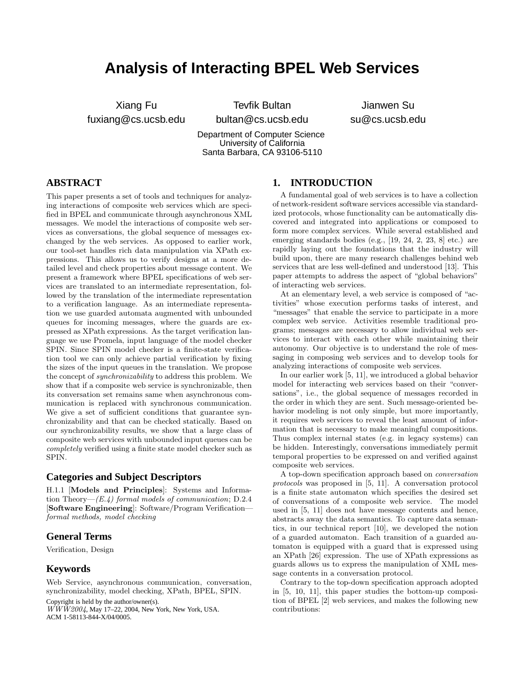# **Analysis of Interacting BPEL Web Services**

Xiang Fu fuxiang@cs.ucsb.edu

Tevfik Bultan bultan@cs.ucsb.edu

Jianwen Su su@cs.ucsb.edu

Department of Computer Science University of California Santa Barbara, CA 93106-5110

## **ABSTRACT**

This paper presents a set of tools and techniques for analyzing interactions of composite web services which are specified in BPEL and communicate through asynchronous XML messages. We model the interactions of composite web services as conversations, the global sequence of messages exchanged by the web services. As opposed to earlier work, our tool-set handles rich data manipulation via XPath expressions. This allows us to verify designs at a more detailed level and check properties about message content. We present a framework where BPEL specifications of web services are translated to an intermediate representation, followed by the translation of the intermediate representation to a verification language. As an intermediate representation we use guarded automata augmented with unbounded queues for incoming messages, where the guards are expressed as XPath expressions. As the target verification language we use Promela, input language of the model checker SPIN. Since SPIN model checker is a finite-state verification tool we can only achieve partial verification by fixing the sizes of the input queues in the translation. We propose the concept of synchronizability to address this problem. We show that if a composite web service is synchronizable, then its conversation set remains same when asynchronous communication is replaced with synchronous communication. We give a set of sufficient conditions that guarantee synchronizability and that can be checked statically. Based on our synchronizability results, we show that a large class of composite web services with unbounded input queues can be completely verified using a finite state model checker such as SPIN.

#### **Categories and Subject Descriptors**

H.1.1 [Models and Principles]: Systems and Information Theory— $(E.4)$  formal models of communication; D.2.4 [Software Engineering]: Software/Program Verification formal methods, model checking

## **General Terms**

Verification, Design

## **Keywords**

Web Service, asynchronous communication, conversation, synchronizability, model checking, XPath, BPEL, SPIN.

Copyright is held by the author/owner(s).

 $WWWZ004$ , May 17–22, 2004, New York, New York, USA. ACM 1-58113-844-X/04/0005.

## **1. INTRODUCTION**

A fundamental goal of web services is to have a collection of network-resident software services accessible via standardized protocols, whose functionality can be automatically discovered and integrated into applications or composed to form more complex services. While several established and emerging standards bodies (e.g., [19, 24, 2, 23, 8] etc.) are rapidly laying out the foundations that the industry will build upon, there are many research challenges behind web services that are less well-defined and understood [13]. This paper attempts to address the aspect of "global behaviors" of interacting web services.

At an elementary level, a web service is composed of "activities" whose execution performs tasks of interest, and "messages" that enable the service to participate in a more complex web service. Activities resemble traditional programs; messages are necessary to allow individual web services to interact with each other while maintaining their autonomy. Our objective is to understand the role of messaging in composing web services and to develop tools for analyzing interactions of composite web services.

In our earlier work [5, 11], we introduced a global behavior model for interacting web services based on their "conversations", i.e., the global sequence of messages recorded in the order in which they are sent. Such message-oriented behavior modeling is not only simple, but more importantly, it requires web services to reveal the least amount of information that is necessary to make meaningful compositions. Thus complex internal states (e.g. in legacy systems) can be hidden. Interestingly, conversations immediately permit temporal properties to be expressed on and verified against composite web services.

A top-down specification approach based on conversation protocols was proposed in [5, 11]. A conversation protocol is a finite state automaton which specifies the desired set of conversations of a composite web service. The model used in [5, 11] does not have message contents and hence, abstracts away the data semantics. To capture data semantics, in our technical report [10], we developed the notion of a guarded automaton. Each transition of a guarded automaton is equipped with a guard that is expressed using an XPath [26] expression. The use of XPath expressions as guards allows us to express the manipulation of XML message contents in a conversation protocol.

Contrary to the top-down specification approach adopted in [5, 10, 11], this paper studies the bottom-up composition of BPEL [2] web services, and makes the following new contributions: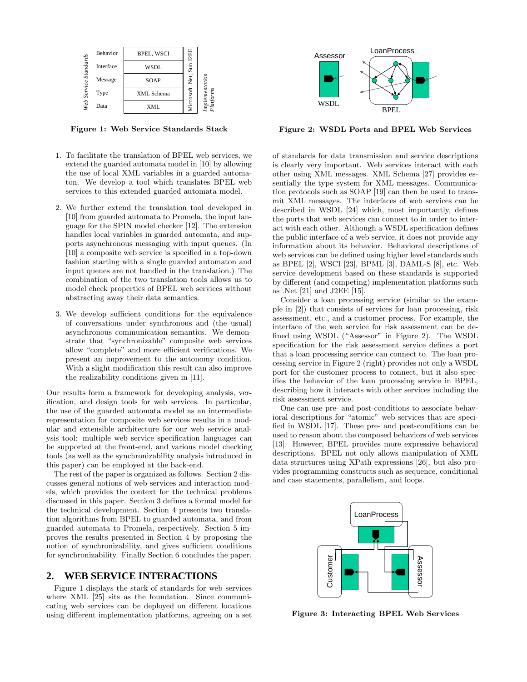| Behavior  | <b>BPEL, WSCI</b> |      |                              |
|-----------|-------------------|------|------------------------------|
| Interface | <b>WSDL</b>       | Sun  |                              |
| Message   | SOAP              | Net. | ntation                      |
| Type      | XML Schema        |      |                              |
| Data      | <b>XML</b>        |      | mplemu<br><sup>Matform</sup> |
|           |                   |      | J2EE<br>Microsoft            |

Figure 1: Web Service Standards Stack

- 1. To facilitate the translation of BPEL web services, we extend the guarded automata model in [10] by allowing the use of local XML variables in a guarded automaton. We develop a tool which translates BPEL web services to this extended guarded automata model.
- 2. We further extend the translation tool developed in [10] from guarded automata to Promela, the input language for the SPIN model checker [12]. The extension handles local variables in guarded automata, and supports asynchronous messaging with input queues. (In [10] a composite web service is specified in a top-down fashion starting with a single guarded automaton and input queues are not handled in the translation.) The combination of the two translation tools allows us to model check properties of BPEL web services without abstracting away their data semantics.
- 3. We develop sufficient conditions for the equivalence of conversations under synchronous and (the usual) asynchronous communication semantics. We demonstrate that "synchronizable" composite web services allow "complete" and more efficient verifications. We present an improvement to the autonomy condition. With a slight modification this result can also improve the realizability conditions given in [11].

Our results form a framework for developing analysis, verification, and design tools for web services. In particular, the use of the guarded automata model as an intermediate representation for composite web services results in a modular and extensible architecture for our web service analysis tool: multiple web service specification languages can be supported at the front-end, and various model checking tools (as well as the synchronizability analysis introduced in this paper) can be employed at the back-end.

The rest of the paper is organized as follows. Section 2 discusses general notions of web services and interaction models, which provides the context for the technical problems discussed in this paper. Section 3 defines a formal model for the technical development. Section 4 presents two translation algorithms from BPEL to guarded automata, and from guarded automata to Promela, respectively. Section 5 improves the results presented in Section 4 by proposing the notion of synchronizability, and gives sufficient conditions for synchronizability. Finally Section 6 concludes the paper.

## **2. WEB SERVICE INTERACTIONS**

Figure 1 displays the stack of standards for web services where XML [25] sits as the foundation. Since communicating web services can be deployed on different locations using different implementation platforms, agreeing on a set



Figure 2: WSDL Ports and BPEL Web Services

of standards for data transmission and service descriptions is clearly very important. Web services interact with each other using XML messages. XML Schema [27] provides essentially the type system for XML messages. Communication protocols such as SOAP [19] can then be used to transmit XML messages. The interfaces of web services can be described in WSDL [24] which, most importantly, defines the ports that web services can connect to in order to interact with each other. Although a WSDL specification defines the public interface of a web service, it does not provide any information about its behavior. Behavioral descriptions of web services can be defined using higher level standards such as BPEL [2], WSCI [23], BPML [3], DAML-S [8], etc. Web service development based on these standards is supported by different (and competing) implementation platforms such as .Net [21] and J2EE [15].

Consider a loan processing service (similar to the example in [2]) that consists of services for loan processing, risk assessment, etc., and a customer process. For example, the interface of the web service for risk assessment can be defined using WSDL ("Assessor" in Figure 2). The WSDL specification for the risk assessment service defines a port that a loan processing service can connect to. The loan processing service in Figure 2 (right) provides not only a WSDL port for the customer process to connect, but it also specifies the behavior of the loan processing service in BPEL, describing how it interacts with other services including the risk assessment service.

One can use pre- and post-conditions to associate behavioral descriptions for "atomic" web services that are specified in WSDL [17]. These pre- and post-conditions can be used to reason about the composed behaviors of web services [13]. However, BPEL provides more expressive behavioral descriptions. BPEL not only allows manipulation of XML data structures using XPath expressions [26], but also provides programming constructs such as sequence, conditional and case statements, parallelism, and loops.



Figure 3: Interacting BPEL Web Services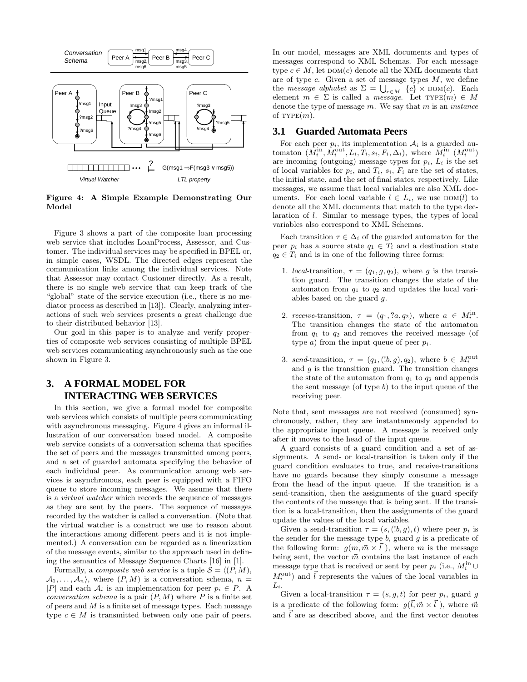

Figure 4: A Simple Example Demonstrating Our Model

Figure 3 shows a part of the composite loan processing web service that includes LoanProcess, Assessor, and Customer. The individual services may be specified in BPEL or, in simple cases, WSDL. The directed edges represent the communication links among the individual services. Note that Assessor may contact Customer directly. As a result, there is no single web service that can keep track of the "global" state of the service execution (i.e., there is no mediator process as described in [13]). Clearly, analyzing interactions of such web services presents a great challenge due to their distributed behavior [13].

Our goal in this paper is to analyze and verify properties of composite web services consisting of multiple BPEL web services communicating asynchronously such as the one shown in Figure 3.

# **3. A FORMAL MODEL FOR INTERACTING WEB SERVICES**

In this section, we give a formal model for composite web services which consists of multiple peers communicating with asynchronous messaging. Figure 4 gives an informal illustration of our conversation based model. A composite web service consists of a conversation schema that specifies the set of peers and the messages transmitted among peers, and a set of guarded automata specifying the behavior of each individual peer. As communication among web services is asynchronous, each peer is equipped with a FIFO queue to store incoming messages. We assume that there is a virtual watcher which records the sequence of messages as they are sent by the peers. The sequence of messages recorded by the watcher is called a conversation. (Note that the virtual watcher is a construct we use to reason about the interactions among different peers and it is not implemented.) A conversation can be regarded as a linearization of the message events, similar to the approach used in defining the semantics of Message Sequence Charts [16] in [1].

Formally, a *composite web service* is a tuple  $S = \langle (P, M), \rangle$  $\mathcal{A}_1, \ldots, \mathcal{A}_n$ , where  $(P, M)$  is a conversation schema,  $n =$ |P| and each  $A_i$  is an implementation for peer  $p_i \in P$ . A conversation schema is a pair  $(P, M)$  where P is a finite set of peers and  $M$  is a finite set of message types. Each message type  $c \in M$  is transmitted between only one pair of peers. In our model, messages are XML documents and types of messages correspond to XML Schemas. For each message type  $c \in M$ , let  $\text{DOM}(c)$  denote all the XML documents that are of type  $c$ . Given a set of message types  $M$ , we define the message alphabet as  $\Sigma = \bigcup_{c \in M} \{c\} \times \text{DOM}(c)$ . Each element  $m \in \Sigma$  is called a *message*. Let  $\text{Type}(m) \in M$ denote the type of message  $m$ . We say that  $m$  is an *instance* of  $TYPE(m)$ .

## **3.1 Guarded Automata Peers**

For each peer  $p_i$ , its implementation  $A_i$  is a guarded automaton  $(M_i^{\text{in}}, M_i^{\text{out}}, L_i, T_i, s_i, F_i, \Delta_i)$ , where  $M_i^{\text{in}} (M_i^{\text{out}})$ are incoming (outgoing) message types for  $p_i$ ,  $L_i$  is the set of local variables for  $p_i$ , and  $T_i$ ,  $s_i$ ,  $F_i$  are the set of states, the initial state, and the set of final states, respectively. Like messages, we assume that local variables are also XML documents. For each local variable  $l \in L_i$ , we use  $\text{DOM}(l)$  to denote all the XML documents that match to the type declaration of l. Similar to message types, the types of local variables also correspond to XML Schemas.

Each transition  $\tau \in \Delta_i$  of the guarded automaton for the peer  $p_i$  has a source state  $q_1 \in T_i$  and a destination state  $q_2 \in T_i$  and is in one of the following three forms:

- 1. *local*-transition,  $\tau = (q_1, g, q_2)$ , where g is the transition guard. The transition changes the state of the automaton from  $q_1$  to  $q_2$  and updates the local variables based on the guard g.
- 2. receive-transition,  $\tau = (q_1, ?a, q_2)$ , where  $a \in M_i^{\text{in}}$ . The transition changes the state of the automaton from  $q_1$  to  $q_2$  and removes the received message (of type a) from the input queue of peer  $p_i$ .
- 3. send-transition,  $\tau = (q_1, (l_b, g), q_2)$ , where  $b \in M_i^{\text{out}}$ and  $g$  is the transition guard. The transition changes the state of the automaton from  $q_1$  to  $q_2$  and appends the sent message (of type  $b$ ) to the input queue of the receiving peer.

Note that, sent messages are not received (consumed) synchronously, rather, they are instantaneously appended to the appropriate input queue. A message is received only after it moves to the head of the input queue.

A guard consists of a guard condition and a set of assignments. A send- or local-transition is taken only if the guard condition evaluates to true, and receive-transitions have no guards because they simply consume a message from the head of the input queue. If the transition is a send-transition, then the assignments of the guard specify the contents of the message that is being sent. If the transition is a local-transition, then the assignments of the guard update the values of the local variables.

Given a send-transition  $\tau = (s, (lb, g), t)$  where peer  $p_i$  is the sender for the message type  $b$ , guard  $g$  is a predicate of the following form:  $q(m, \vec{m} \times \vec{l})$ , where m is the message being sent, the vector  $\vec{m}$  contains the last instance of each message type that is received or sent by peer  $p_i$  (i.e.,  $M_i^{\text{in}} \cup$  $M_i^{\text{out}}$ ) and  $\vec{l}$  represents the values of the local variables in  $L_i$ .

Given a local-transition  $\tau = (s, g, t)$  for peer  $p_i$ , guard g is a predicate of the following form:  $g(\vec{l}, \vec{m} \times \vec{l})$ , where  $\vec{m}$ and  $\vec{l}$  are as described above, and the first vector denotes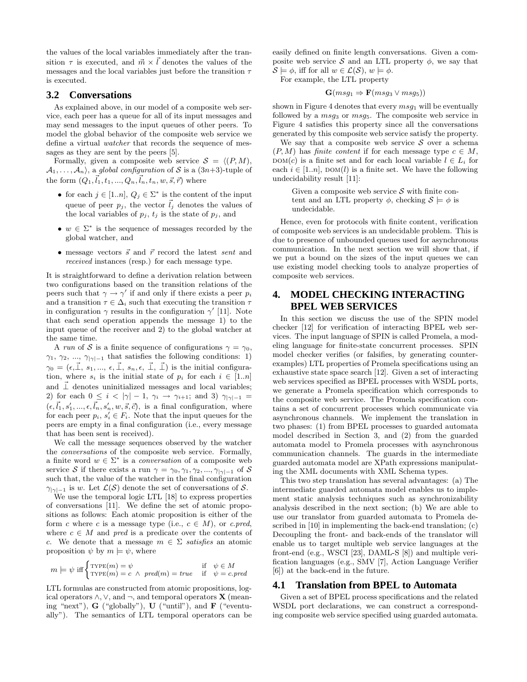the values of the local variables immediately after the transition  $\tau$  is executed, and  $\vec{m} \times \vec{l}$  denotes the values of the messages and the local variables just before the transition  $\tau$ is executed.

#### **3.2 Conversations**

As explained above, in our model of a composite web service, each peer has a queue for all of its input messages and may send messages to the input queues of other peers. To model the global behavior of the composite web service we define a virtual watcher that records the sequence of messages as they are sent by the peers [5].

Formally, given a composite web service  $S = \langle (P, M),$  $\mathcal{A}_1, \ldots, \mathcal{A}_n$ , a global configuration of S is a  $(3n+3)$ -tuple of the form  $(Q_1, \vec{l}_1, t_1, ..., Q_n, \vec{l}_n, t_n, w, \vec{s}, \vec{r})$  where

- for each  $j \in [1..n], Q_j \in \Sigma^*$  is the content of the input queue of peer  $p_j$ , the vector  $\vec{l}_j$  denotes the values of the local variables of  $p_j$ ,  $t_j$  is the state of  $p_j$ , and
- $w \in \Sigma^*$  is the sequence of messages recorded by the global watcher, and
- message vectors  $\vec{s}$  and  $\vec{r}$  record the latest sent and received instances (resp.) for each message type.

It is straightforward to define a derivation relation between two configurations based on the transition relations of the peers such that  $\gamma \to \gamma'$  if and only if there exists a peer  $p_i$ and a transition  $\tau \in \Delta_i$  such that executing the transition  $\tau$ in configuration  $\gamma$  results in the configuration  $\gamma'$  [11]. Note that each send operation appends the message 1) to the input queue of the receiver and 2) to the global watcher at the same time.

A run of S is a finite sequence of configurations  $\gamma = \gamma_0$ ,  $\gamma_1, \gamma_2, ..., \gamma_{|\gamma|-1}$  that satisfies the following conditions: 1)  $\gamma_0 = (\epsilon, \vec{\perp}, s_1, ..., \epsilon, \vec{\perp}, s_n, \epsilon, \vec{\perp}, \vec{\perp})$  is the initial configuration, where  $s_i$  is the initial state of  $p_i$  for each  $i \in [1..n]$ and  $\vec{\perp}$  denotes uninitialized messages and local variables; 2) for each  $0 \leq i < |\gamma| - 1$ ,  $\gamma_i \rightarrow \gamma_{i+1}$ ; and 3)  $\gamma_{|\gamma| - 1} =$  $(\epsilon, \vec{l}_1, s'_1, \ldots, \epsilon, \vec{l}_n, s'_n, w, \vec{s}, \vec{c})$ , is a final configuration, where for each peer  $p_i, s'_i \in F_i$ . Note that the input queues for the peers are empty in a final configuration (i.e., every message that has been sent is received).

We call the message sequences observed by the watcher the conversations of the composite web service. Formally, a finite word  $w \in \Sigma^*$  is a *conversation* of a composite web service S if there exists a run  $\gamma = \gamma_0, \gamma_1, \gamma_2, ..., \gamma_{|\gamma|-1}$  of S such that, the value of the watcher in the final configuration  $\gamma_{|\gamma|-1}$  is w. Let  $\mathcal{L}(\mathcal{S})$  denote the set of conversations of S.

We use the temporal logic LTL [18] to express properties of conversations [11]. We define the set of atomic propositions as follows: Each atomic proposition is either of the form c where c is a message type (i.e.,  $c \in M$ ), or c.pred, where  $c \in M$  and pred is a predicate over the contents of c. We denote that a message  $m \in \Sigma$  satisfies an atomic proposition  $\psi$  by  $m \models \psi$ , where

$$
m \models \psi \text{ iff } \begin{cases} \text{Type}(m) = \psi & \text{ if } \psi \in M \\ \text{Type}(m) = c \ \wedge \ \text{pred}(m) = \text{true} & \text{ if } \psi = c.\text{pred} \end{cases}
$$

LTL formulas are constructed from atomic propositions, logical operators  $\wedge$ ,  $\vee$ , and  $\neg$ , and temporal operators **X** (meaning "next"), G ("globally"), U ("until"), and F ("eventually"). The semantics of LTL temporal operators can be easily defined on finite length conversations. Given a composite web service S and an LTL property  $\phi$ , we say that  $\mathcal{S} \models \phi$ , iff for all  $w \in \mathcal{L}(\mathcal{S}), w \models \phi$ .

For example, the LTL property

 $\mathbf{G}(msg_1 \Rightarrow \mathbf{F}(msg_3 \vee msg_5))$ 

shown in Figure 4 denotes that every  $msq_1$  will be eventually followed by a  $msg_3$  or  $msg_5$ . The composite web service in Figure 4 satisfies this property since all the conversations generated by this composite web service satisfy the property.

We say that a composite web service  $S$  over a schema  $(P, M)$  has *finite content* if for each message type  $c \in M$ ,  $DOM(c)$  is a finite set and for each local variable  $l \in L_i$  for each  $i \in [1..n]$ ,  $\text{DOM}(l)$  is a finite set. We have the following undecidability result [11]:

Given a composite web service  $\mathcal S$  with finite content and an LTL property  $\phi$ , checking  $S \models \phi$  is undecidable.

Hence, even for protocols with finite content, verification of composite web services is an undecidable problem. This is due to presence of unbounded queues used for asynchronous communication. In the next section we will show that, if we put a bound on the sizes of the input queues we can use existing model checking tools to analyze properties of composite web services.

## **4. MODEL CHECKING INTERACTING BPEL WEB SERVICES**

In this section we discuss the use of the SPIN model checker [12] for verification of interacting BPEL web services. The input language of SPIN is called Promela, a modeling language for finite-state concurrent processes. SPIN model checker verifies (or falsifies, by generating counterexamples) LTL properties of Promela specifications using an exhaustive state space search [12]. Given a set of interacting web services specified as BPEL processes with WSDL ports, we generate a Promela specification which corresponds to the composite web service. The Promela specification contains a set of concurrent processes which communicate via asynchronous channels. We implement the translation in two phases: (1) from BPEL processes to guarded automata model described in Section 3, and (2) from the guarded automata model to Promela processes with asynchronous communication channels. The guards in the intermediate guarded automata model are XPath expressions manipulating the XML documents with XML Schema types.

This two step translation has several advantages: (a) The intermediate guarded automata model enables us to implement static analysis techniques such as synchronizability analysis described in the next section; (b) We are able to use our translator from guarded automata to Promela described in [10] in implementing the back-end translation; (c) Decoupling the front- and back-ends of the translator will enable us to target multiple web service languages at the front-end (e.g., WSCI [23], DAML-S [8]) and multiple verification languages (e.g., SMV [7], Action Language Verifier [6]) at the back-end in the future.

#### **4.1 Translation from BPEL to Automata**

Given a set of BPEL process specifications and the related WSDL port declarations, we can construct a corresponding composite web service specified using guarded automata.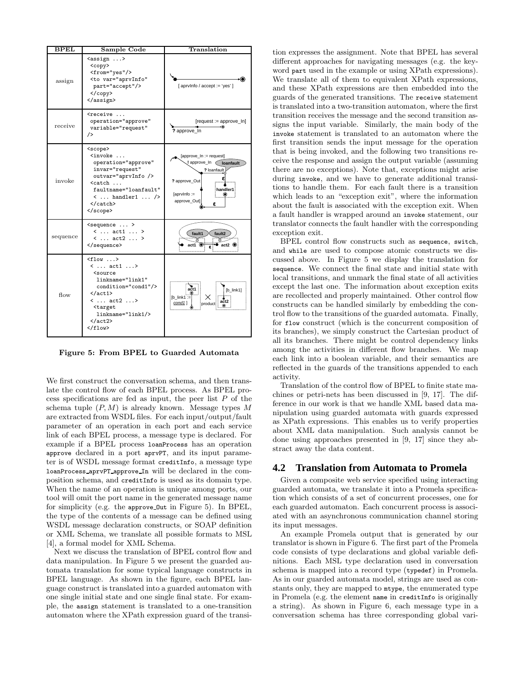

Figure 5: From BPEL to Guarded Automata

We first construct the conversation schema, and then translate the control flow of each BPEL process. As BPEL process specifications are fed as input, the peer list  $P$  of the schema tuple  $(P, M)$  is already known. Message types M are extracted from WSDL files. For each input/output/fault parameter of an operation in each port and each service link of each BPEL process, a message type is declared. For example if a BPEL process loanProcess has an operation approve declared in a port aprvPT, and its input parameter is of WSDL message format creditInfo, a message type loanProcess aprvPT approve In will be declared in the composition schema, and creditInfo is used as its domain type. When the name of an operation is unique among ports, our tool will omit the port name in the generated message name for simplicity (e.g. the approve Out in Figure 5). In BPEL, the type of the contents of a message can be defined using WSDL message declaration constructs, or SOAP definition or XML Schema, we translate all possible formats to MSL [4], a formal model for XML Schema.

Next we discuss the translation of BPEL control flow and data manipulation. In Figure 5 we present the guarded automata translation for some typical language constructs in BPEL language. As shown in the figure, each BPEL language construct is translated into a guarded automaton with one single initial state and one single final state. For example, the assign statement is translated to a one-transition automaton where the XPath expression guard of the transition expresses the assignment. Note that BPEL has several different approaches for navigating messages (e.g. the keyword part used in the example or using XPath expressions). We translate all of them to equivalent XPath expressions, and these XPath expressions are then embedded into the guards of the generated transitions. The receive statement is translated into a two-transition automaton, where the first transition receives the message and the second transition assigns the input variable. Similarly, the main body of the invoke statement is translated to an automaton where the first transition sends the input message for the operation that is being invoked, and the following two transitions receive the response and assign the output variable (assuming there are no exceptions). Note that, exceptions might arise during invoke, and we have to generate additional transitions to handle them. For each fault there is a transition which leads to an "exception exit", where the information about the fault is associated with the exception exit. When a fault handler is wrapped around an invoke statement, our translator connects the fault handler with the corresponding exception exit.

BPEL control flow constructs such as sequence, switch, and while are used to compose atomic constructs we discussed above. In Figure 5 we display the translation for sequence. We connect the final state and initial state with local transitions, and unmark the final state of all activities except the last one. The information about exception exits are recollected and properly maintained. Other control flow constructs can be handled similarly by embedding the control flow to the transitions of the guarded automata. Finally, for flow construct (which is the concurrent composition of its branches), we simply construct the Cartesian product of all its branches. There might be control dependency links among the activities in different flow branches. We map each link into a boolean variable, and their semantics are reflected in the guards of the transitions appended to each activity.

Translation of the control flow of BPEL to finite state machines or petri-nets has been discussed in [9, 17]. The difference in our work is that we handle XML based data manipulation using guarded automata with guards expressed as XPath expressions. This enables us to verify properties about XML data manipulation. Such analysis cannot be done using approaches presented in [9, 17] since they abstract away the data content.

## **4.2 Translation from Automata to Promela**

Given a composite web service specified using interacting guarded automata, we translate it into a Promela specification which consists of a set of concurrent processes, one for each guarded automaton. Each concurrent process is associated with an asynchronous communication channel storing its input messages.

An example Promela output that is generated by our translator is shown in Figure 6. The first part of the Promela code consists of type declarations and global variable definitions. Each MSL type declaration used in conversation schema is mapped into a record type (typedef) in Promela. As in our guarded automata model, strings are used as constants only, they are mapped to mtype, the enumerated type in Promela (e.g. the element name in creditInfo is originally a string). As shown in Figure 6, each message type in a conversation schema has three corresponding global vari-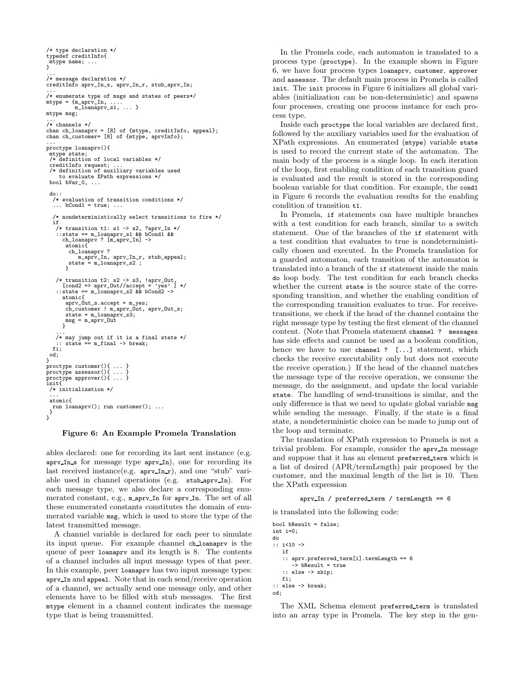```
/* type declaration */
typedef creditInfo{
mtype name; ...
}
...
/* message declaration */
creditInfo aprv_In_s, aprv_In_r, stub_aprv_In;
...
/* enumerate type of msgs and states of peers*/
mtype = {m\_aprv\_In, ...}m_loanaprv_s1, ... }
mtype msg;
...
/* channels */
chan ch_loanaprv = [8] of {mtype, creditInfo, appeal};
chan ch_customer= [8] of {mtype, aprvInfo};
...
proctype loanaprv(){
 mtype state;
 /* definition of local variables */
 creditInfo request; ...
/* definition of auxiliary variables used
     to evaluate XPath expressions */
 bool bVar_0, ...
 do::
  /* evaluation of transition conditions */
  ... bCond1 = true; ...
  /* nondeterministically select transitions to fire */
   if
/* transition t1: s1 -> s2, ?aprv_In */
::state == m_loanaprv_s1 && bCond1 &&
      ch_loanaprv ? [m_aprv_In] ->
       atomic{
         ch_loanaprv ?
            m_aprv_In, aprv_In_r, stub_appeal;
         state = m_loanaprv_s2 ;
        }
   /* transition t2: s2 -> s3, !aprv_0ut,<br>[cond2 => aprv_0ut//accept = 'yes'] */
    [cond2 => aprv_Out//accept = 'yes' ] */
::state == m_loanaprv_s2 && bCond2 ->
      atomicaprv_Out_s.accept = m_yes;
       ch_customer ! m_aprv_Out, aprv_Out_s;
       state = m_loanaprv_s3;
       msg = m_a aprv_0ut
      }
   ...<br>
\therefore may jump out if it is a final state */<br>
:: state == m_final -> break;<br>
fi;
 od;
}
proctype customer(){ ... }
proctype assessor(){ ... }
proctype approver(){ ... }
init{
 /* initialization */
 ...<br>atomic{<br>run loanaprv(); run customer(); ...<br>}
}
```
#### Figure 6: An Example Promela Translation

ables declared: one for recording its last sent instance (e.g. aprv<sub>In</sub> s for message type aprv<sub>In</sub>), one for recording its last received instance(e.g.  $aprvInr$ ), and one "stub" variable used in channel operations (e.g. stub aprv In). For each message type, we also declare a corresponding enumerated constant, e.g., m aprv In for aprv In. The set of all these enumerated constants constitutes the domain of enumerated variable msg, which is used to store the type of the latest transmitted message.

A channel variable is declared for each peer to simulate its input queue. For example channel ch loanaprv is the queue of peer loanaprv and its length is 8. The contents of a channel includes all input message types of that peer. In this example, peer loanaprv has two input message types: aprv In and appeal. Note that in each send/receive operation of a channel, we actually send one message only, and other elements have to be filled with stub messages. The first mtype element in a channel content indicates the message type that is being transmitted.

In the Promela code, each automaton is translated to a process type (proctype). In the example shown in Figure 6, we have four process types loanaprv, customer, approver and assessor. The default main process in Promela is called init. The init process in Figure 6 initializes all global variables (initialization can be non-deterministic) and spawns four processes, creating one process instance for each process type.

Inside each proctype the local variables are declared first, followed by the auxiliary variables used for the evaluation of XPath expressions. An enumerated (mtype) variable state is used to record the current state of the automaton. The main body of the process is a single loop. In each iteration of the loop, first enabling condition of each transition guard is evaluated and the result is stored in the corresponding boolean variable for that condition. For example, the cond1 in Figure 6 records the evaluation results for the enabling condition of transition t1.

In Promela, if statements can have multiple branches with a test condition for each branch, similar to a switch statement. One of the branches of the if statement with a test condition that evaluates to true is nondeterministically chosen and executed. In the Promela translation for a guarded automaton, each transition of the automaton is translated into a branch of the if statement inside the main do loop body. The test condition for each branch checks whether the current state is the source state of the corresponding transition, and whether the enabling condition of the corresponding transition evaluates to true. For receivetransitions, we check if the head of the channel contains the right message type by testing the first element of the channel content. (Note that Promela statement channel ? messages has side effects and cannot be used as a boolean condition, hence we have to use channel ? [...] statement, which checks the receive executability only but does not execute the receive operation.) If the head of the channel matches the message type of the receive operation, we consume the message, do the assignment, and update the local variable state. The handling of send-transitions is similar, and the only difference is that we need to update global variable msg while sending the message. Finally, if the state is a final state, a nondeterministic choice can be made to jump out of the loop and terminate.

The translation of XPath expression to Promela is not a trivial problem. For example, consider the aprv In message and suppose that it has an element preferred term which is a list of desired (APR/termLength) pair proposed by the customer, and the maximal length of the list is 10. Then the XPath expression

```
aprv In / preferred term / termLength == 6
```
is translated into the following code:

```
bool bResult = false;
int i=0;
do
:: i<10 ->
   if
   :: aprv.preferred_term[i].termLength == 6
      \rightarrow bResult = true
   :: else -> skip;
   fi;
:: else -> break;
od;
```
The XML Schema element preferred term is translated into an array type in Promela. The key step in the gen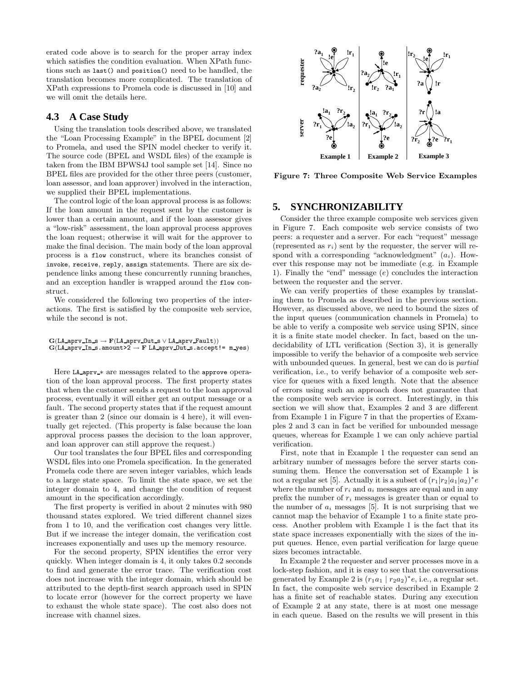erated code above is to search for the proper array index which satisfies the condition evaluation. When XPath functions such as last() and position() need to be handled, the translation becomes more complicated. The translation of XPath expressions to Promela code is discussed in [10] and we will omit the details here.

## **4.3 A Case Study**

Using the translation tools described above, we translated the "Loan Processing Example" in the BPEL document [2] to Promela, and used the SPIN model checker to verify it. The source code (BPEL and WSDL files) of the example is taken from the IBM BPWS4J tool sample set [14]. Since no BPEL files are provided for the other three peers (customer, loan assessor, and loan approver) involved in the interaction, we supplied their BPEL implementations.

The control logic of the loan approval process is as follows: If the loan amount in the request sent by the customer is lower than a certain amount, and if the loan assessor gives a "low-risk" assessment, the loan approval process approves the loan request; otherwise it will wait for the approver to make the final decision. The main body of the loan approval process is a flow construct, where its branches consist of invoke, receive, reply, assign statements. There are six dependence links among these concurrently running branches, and an exception handler is wrapped around the flow construct.

We considered the following two properties of the interactions. The first is satisfied by the composite web service, while the second is not.

```
G(LA_{aprv}In s \rightarrow F(LA_{aprv}Out s \vee LA_{aprv}Fault))G(LA_{aprv}In.s.amount>2 \rightarrow FLA_{aprv}Out.s.accept!=m yes)
```
Here LA aprv\_\* are messages related to the approve operation of the loan approval process. The first property states that when the customer sends a request to the loan approval process, eventually it will either get an output message or a fault. The second property states that if the request amount is greater than 2 (since our domain is 4 here), it will eventually get rejected. (This property is false because the loan approval process passes the decision to the loan approver, and loan approver can still approve the request.)

Our tool translates the four BPEL files and corresponding WSDL files into one Promela specification. In the generated Promela code there are seven integer variables, which leads to a large state space. To limit the state space, we set the integer domain to 4, and change the condition of request amount in the specification accordingly.

The first property is verified in about 2 minutes with 980 thousand states explored. We tried different channel sizes from 1 to 10, and the verification cost changes very little. But if we increase the integer domain, the verification cost increases exponentially and uses up the memory resource.

For the second property, SPIN identifies the error very quickly. When integer domain is 4, it only takes 0.2 seconds to find and generate the error trace. The verification cost does not increase with the integer domain, which should be attributed to the depth-first search approach used in SPIN to locate error (however for the correct property we have to exhaust the whole state space). The cost also does not increase with channel sizes.



Figure 7: Three Composite Web Service Examples

## **5. SYNCHRONIZABILITY**

Consider the three example composite web services given in Figure 7. Each composite web service consists of two peers: a requester and a server. For each "request" message (represented as  $r_i$ ) sent by the requester, the server will respond with a corresponding "acknowledgment"  $(a_i)$ . However this response may not be immediate (e.g. in Example 1). Finally the "end" message (e) concludes the interaction between the requester and the server.

We can verify properties of these examples by translating them to Promela as described in the previous section. However, as discussed above, we need to bound the sizes of the input queues (communication channels in Promela) to be able to verify a composite web service using SPIN, since it is a finite state model checker. In fact, based on the undecidability of LTL verification (Section 3), it is generally impossible to verify the behavior of a composite web service with unbounded queues. In general, best we can do is *partial* verification, i.e., to verify behavior of a composite web service for queues with a fixed length. Note that the absence of errors using such an approach does not guarantee that the composite web service is correct. Interestingly, in this section we will show that, Examples 2 and 3 are different from Example 1 in Figure 7 in that the properties of Examples 2 and 3 can in fact be verified for unbounded message queues, whereas for Example 1 we can only achieve partial verification.

First, note that in Example 1 the requester can send an arbitrary number of messages before the server starts consuming them. Hence the conversation set of Example 1 is not a regular set [5]. Actually it is a subset of  $(r_1|r_2|a_1|a_2)^*e$ where the number of  $r_i$  and  $a_i$  messages are equal and in any prefix the number of  $r_i$  messages is greater than or equal to the number of  $a_i$  messages [5]. It is not surprising that we cannot map the behavior of Example 1 to a finite state process. Another problem with Example 1 is the fact that its state space increases exponentially with the sizes of the input queues. Hence, even partial verification for large queue sizes becomes intractable.

In Example 2 the requester and server processes move in a lock-step fashion, and it is easy to see that the conversations generated by Example 2 is  $(r_1a_1 | r_2a_2)^*e$ , i.e., a regular set. In fact, the composite web service described in Example 2 has a finite set of reachable states. During any execution of Example 2 at any state, there is at most one message in each queue. Based on the results we will present in this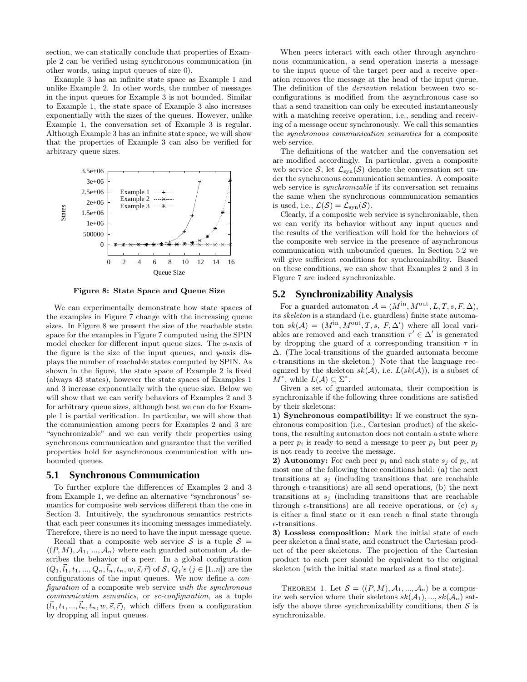section, we can statically conclude that properties of Example 2 can be verified using synchronous communication (in other words, using input queues of size 0).

Example 3 has an infinite state space as Example 1 and unlike Example 2. In other words, the number of messages in the input queues for Example 3 is not bounded. Similar to Example 1, the state space of Example 3 also increases exponentially with the sizes of the queues. However, unlike Example 1, the conversation set of Example 3 is regular. Although Example 3 has an infinite state space, we will show that the properties of Example 3 can also be verified for arbitrary queue sizes.



Figure 8: State Space and Queue Size

We can experimentally demonstrate how state spaces of the examples in Figure 7 change with the increasing queue sizes. In Figure 8 we present the size of the reachable state space for the examples in Figure 7 computed using the SPIN model checker for different input queue sizes. The x-axis of the figure is the size of the input queues, and  $\nu$ -axis displays the number of reachable states computed by SPIN. As shown in the figure, the state space of Example 2 is fixed (always 43 states), however the state spaces of Examples 1 and 3 increase exponentially with the queue size. Below we will show that we can verify behaviors of Examples 2 and 3 for arbitrary queue sizes, although best we can do for Example 1 is partial verification. In particular, we will show that the communication among peers for Examples 2 and 3 are "synchronizable" and we can verify their properties using synchronous communication and guarantee that the verified properties hold for asynchronous communication with unbounded queues.

#### **5.1 Synchronous Communication**

To further explore the differences of Examples 2 and 3 from Example 1, we define an alternative "synchronous" semantics for composite web services different than the one in Section 3. Intuitively, the synchronous semantics restricts that each peer consumes its incoming messages immediately. Therefore, there is no need to have the input message queue.

Recall that a composite web service S is a tuple  $S =$  $\langle (P, M), \mathcal{A}_1, ..., \mathcal{A}_n \rangle$  where each guarded automaton  $\mathcal{A}_i$  describes the behavior of a peer. In a global configuration  $(Q_1, \vec{l}_1, t_1, ..., Q_n, \vec{l}_n, t_n, w, \vec{s}, \vec{r})$  of  $S, Q_j$ 's  $(j \in [1..n])$  are the configurations of the input queues. We now define a configuration of a composite web service with the synchronous communication semantics, or sc-configuration, as a tuple  $(\vec{l}_1, t_1, \ldots, \vec{l}_n, t_n, w, \vec{s}, \vec{r})$ , which differs from a configuration by dropping all input queues.

When peers interact with each other through asynchronous communication, a send operation inserts a message to the input queue of the target peer and a receive operation removes the message at the head of the input queue. The definition of the derivation relation between two scconfigurations is modified from the asynchronous case so that a send transition can only be executed instantaneously with a matching receive operation, i.e., sending and receiving of a message occur synchronously. We call this semantics the synchronous communication semantics for a composite web service.

The definitions of the watcher and the conversation set are modified accordingly. In particular, given a composite web service S, let  $\mathcal{L}_{syn}(\mathcal{S})$  denote the conversation set under the synchronous communication semantics. A composite web service is synchronizable if its conversation set remains the same when the synchronous communication semantics is used, i.e.,  $\mathcal{L}(\mathcal{S}) = \mathcal{L}_{syn}(\mathcal{S})$ .

Clearly, if a composite web service is synchronizable, then we can verify its behavior without any input queues and the results of the verification will hold for the behaviors of the composite web service in the presence of asynchronous communication with unbounded queues. In Section 5.2 we will give sufficient conditions for synchronizability. Based on these conditions, we can show that Examples 2 and 3 in Figure 7 are indeed synchronizable.

#### **5.2 Synchronizability Analysis**

For a guarded automaton  $A = (M^{\text{in}}, M^{\text{out}}, L, T, s, F, \Delta),$ its skeleton is a standard (i.e. guardless) finite state automaton  $sk(\mathcal{A}) = (M^{\text{in}}, M^{\text{out}}, T, s, F, \Delta')$  where all local variables are removed and each transition  $\tau' \in \Delta'$  is generated by dropping the guard of a corresponding transition  $\tau$  in ∆. (The local-transitions of the guarded automata become  $\epsilon$ -transitions in the skeleton.) Note that the language recognized by the skeleton  $sk(\mathcal{A})$ , i.e.  $L(sk(\mathcal{A}))$ , is a subset of  $M^*$ , while  $L(\mathcal{A}) \subseteq \Sigma^*$ .

Given a set of guarded automata, their composition is synchronizable if the following three conditions are satisfied by their skeletons:

1) Synchronous compatibility: If we construct the synchronous composition (i.e., Cartesian product) of the skeletons, the resulting automaton does not contain a state where a peer  $p_i$  is ready to send a message to peer  $p_j$  but peer  $p_j$ is not ready to receive the message.

2) Autonomy: For each peer  $p_i$  and each state  $s_i$  of  $p_i$ , at most one of the following three conditions hold: (a) the next transitions at  $s_j$  (including transitions that are reachable through  $\epsilon$ -transitions) are all send operations, (b) the next transitions at  $s_j$  (including transitions that are reachable through  $\epsilon$ -transitions) are all receive operations, or (c)  $s_j$ is either a final state or it can reach a final state through  $\epsilon$ -transitions.

3) Lossless composition: Mark the initial state of each peer skeleton a final state, and construct the Cartesian product of the peer skeletons. The projection of the Cartesian product to each peer should be equivalent to the original skeleton (with the initial state marked as a final state).

THEOREM 1. Let  $S = \langle (P, M), A_1, ..., A_n \rangle$  be a composite web service where their skeletons  $sk(\mathcal{A}_1), ..., sk(\mathcal{A}_n)$  satisfy the above three synchronizability conditions, then  $S$  is synchronizable.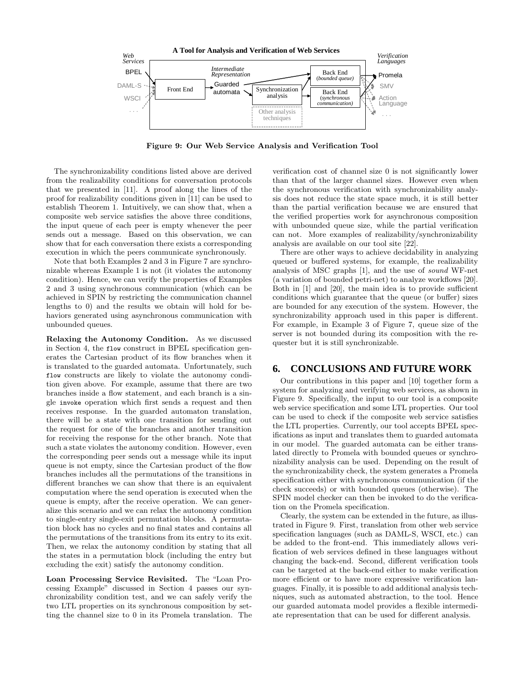

Figure 9: Our Web Service Analysis and Verification Tool

The synchronizability conditions listed above are derived from the realizability conditions for conversation protocols that we presented in [11]. A proof along the lines of the proof for realizability conditions given in [11] can be used to establish Theorem 1. Intuitively, we can show that, when a composite web service satisfies the above three conditions, the input queue of each peer is empty whenever the peer sends out a message. Based on this observation, we can show that for each conversation there exists a corresponding execution in which the peers communicate synchronously.

Note that both Examples 2 and 3 in Figure 7 are synchronizable whereas Example 1 is not (it violates the autonomy condition). Hence, we can verify the properties of Examples 2 and 3 using synchronous communication (which can be achieved in SPIN by restricting the communication channel lengths to 0) and the results we obtain will hold for behaviors generated using asynchronous communication with unbounded queues.

Relaxing the Autonomy Condition. As we discussed in Section 4, the flow construct in BPEL specification generates the Cartesian product of its flow branches when it is translated to the guarded automata. Unfortunately, such flow constructs are likely to violate the autonomy condition given above. For example, assume that there are two branches inside a flow statement, and each branch is a single invoke operation which first sends a request and then receives response. In the guarded automaton translation, there will be a state with one transition for sending out the request for one of the branches and another transition for receiving the response for the other branch. Note that such a state violates the autonomy condition. However, even the corresponding peer sends out a message while its input queue is not empty, since the Cartesian product of the flow branches includes all the permutations of the transitions in different branches we can show that there is an equivalent computation where the send operation is executed when the queue is empty, after the receive operation. We can generalize this scenario and we can relax the autonomy condition to single-entry single-exit permutation blocks. A permutation block has no cycles and no final states and contains all the permutations of the transitions from its entry to its exit. Then, we relax the autonomy condition by stating that all the states in a permutation block (including the entry but excluding the exit) satisfy the autonomy condition.

Loan Processing Service Revisited. The "Loan Processing Example" discussed in Section 4 passes our synchronizability condition test, and we can safely verify the two LTL properties on its synchronous composition by setting the channel size to 0 in its Promela translation. The

verification cost of channel size 0 is not significantly lower than that of the larger channel sizes. However even when the synchronous verification with synchronizability analysis does not reduce the state space much, it is still better than the partial verification because we are ensured that the verified properties work for asynchronous composition with unbounded queue size, while the partial verification can not. More examples of realizability/synchronizability analysis are available on our tool site [22].

There are other ways to achieve decidability in analyzing queued or buffered systems, for example, the realizability analysis of MSC graphs [1], and the use of sound WF-net (a variation of bounded petri-net) to analyze workflows [20]. Both in [1] and [20], the main idea is to provide sufficient conditions which guarantee that the queue (or buffer) sizes are bounded for any execution of the system. However, the synchronizability approach used in this paper is different. For example, in Example 3 of Figure 7, queue size of the server is not bounded during its composition with the requester but it is still synchronizable.

## **6. CONCLUSIONS AND FUTURE WORK**

Our contributions in this paper and [10] together form a system for analyzing and verifying web services, as shown in Figure 9. Specifically, the input to our tool is a composite web service specification and some LTL properties. Our tool can be used to check if the composite web service satisfies the LTL properties. Currently, our tool accepts BPEL specifications as input and translates them to guarded automata in our model. The guarded automata can be either translated directly to Promela with bounded queues or synchronizability analysis can be used. Depending on the result of the synchronizability check, the system generates a Promela specification either with synchronous communication (if the check succeeds) or with bounded queues (otherwise). The SPIN model checker can then be invoked to do the verification on the Promela specification.

Clearly, the system can be extended in the future, as illustrated in Figure 9. First, translation from other web service specification languages (such as DAML-S, WSCI, etc.) can be added to the front-end. This immediately allows verification of web services defined in these languages without changing the back-end. Second, different verification tools can be targeted at the back-end either to make verification more efficient or to have more expressive verification languages. Finally, it is possible to add additional analysis techniques, such as automated abstraction, to the tool. Hence our guarded automata model provides a flexible intermediate representation that can be used for different analysis.